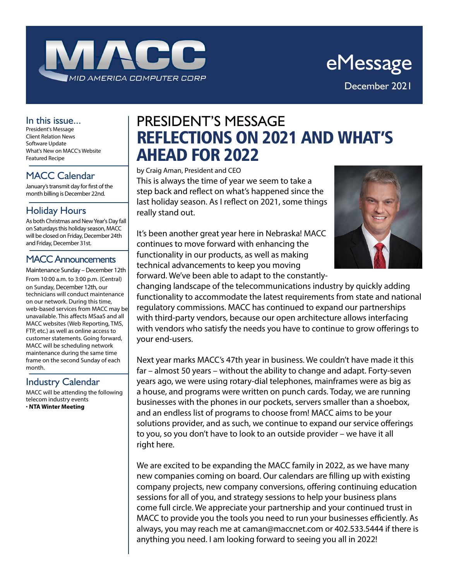

#### In this issue...

President's Message Client Relation News Software Update What's New on MACC's Website Featured Recipe

MACC Calendar

January's transmit day for first of the month billing is December 22nd.

### Holiday Hours

As both Christmas and New Year's Day fall on Saturdays this holiday season, MACC will be closed on Friday, December 24th and Friday, December 31st.

#### MACC Announcements

Maintenance Sunday – December 12th From 10:00 a.m. to 3:00 p.m. (Central) on Sunday, December 12th, our technicians will conduct maintenance on our network. During this time, web-based services from MACC may be unavailable. This affects MSaaS and all MACC websites (Web Reporting, TMS, FTP, etc.) as well as online access to customer statements. Going forward, MACC will be scheduling network maintenance during the same time frame on the second Sunday of each month.

### Industry Calendar

MACC will be attending the following telecom industry events • **NTA Winter Meeting**

## PRESIDENT'S MESSAGE REFLECTIONS ON 2021 AND WHAT'S AHEAD FOR 2022

by Craig Aman, President and CEO

This is always the time of year we seem to take a step back and reflect on what's happened since the last holiday season. As I reflect on 2021, some things really stand out.



It's been another great year here in Nebraska! MACC continues to move forward with enhancing the functionality in our products, as well as making technical advancements to keep you moving forward. We've been able to adapt to the constantly-

changing landscape of the telecommunications industry by quickly adding functionality to accommodate the latest requirements from state and national regulatory commissions. MACC has continued to expand our partnerships with third-party vendors, because our open architecture allows interfacing with vendors who satisfy the needs you have to continue to grow offerings to your end-users.

Next year marks MACC's 47th year in business. We couldn't have made it this far – almost 50 years – without the ability to change and adapt. Forty-seven years ago, we were using rotary-dial telephones, mainframes were as big as a house, and programs were written on punch cards. Today, we are running businesses with the phones in our pockets, servers smaller than a shoebox, and an endless list of programs to choose from! MACC aims to be your solutions provider, and as such, we continue to expand our service offerings to you, so you don't have to look to an outside provider – we have it all right here.

We are excited to be expanding the MACC family in 2022, as we have many new companies coming on board. Our calendars are filling up with existing company projects, new company conversions, offering continuing education sessions for all of you, and strategy sessions to help your business plans come full circle. We appreciate your partnership and your continued trust in MACC to provide you the tools you need to run your businesses efficiently. As always, you may reach me at caman@maccnet.com or 402.533.5444 if there is anything you need. I am looking forward to seeing you all in 2022!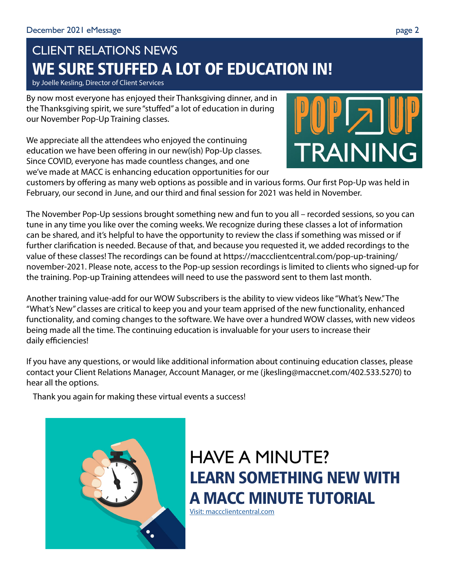# CLIENT RELATIONS NEWS WE SURE STUFFED A LOT OF EDUCATION IN!

by Joelle Kesling, Director of Client Services

By now most everyone has enjoyed their Thanksgiving dinner, and in the Thanksgiving spirit, we sure "stuffed" a lot of education in during our November Pop-Up Training classes.

We appreciate all the attendees who enjoyed the continuing education we have been offering in our new(ish) Pop-Up classes. Since COVID, everyone has made countless changes, and one we've made at MACC is enhancing education opportunities for our



customers by offering as many web options as possible and in various forms. Our first Pop-Up was held in February, our second in June, and our third and final session for 2021 was held in November.

The November Pop-Up sessions brought something new and fun to you all – recorded sessions, so you can tune in any time you like over the coming weeks. We recognize during these classes a lot of information can be shared, and it's helpful to have the opportunity to review the class if something was missed or if further clarification is needed. Because of that, and because you requested it, we added recordings to the value of these classes! The recordings can be found at https://maccclientcentral.com/pop-up-training/ november-2021. Please note, access to the Pop-up session recordings is limited to clients who signed-up for the training. Pop-up Training attendees will need to use the password sent to them last month.

Another training value-add for our WOW Subscribers is the ability to view videos like "What's New." The "What's New" classes are critical to keep you and your team apprised of the new functionality, enhanced functionality, and coming changes to the software. We have over a hundred WOW classes, with new videos being made all the time. The continuing education is invaluable for your users to increase their daily efficiencies!

If you have any questions, or would like additional information about continuing education classes, please contact your Client Relations Manager, Account Manager, or me (jkesling@maccnet.com/402.533.5270) to hear all the options.

Thank you again for making these virtual events a success!



HAVE A MINUTE? LEARN SOMETHING NEW WITH A MACC MINUTE TUTORIAL

[Visit: maccclientcentral.com](https://maccclientcentral.com/)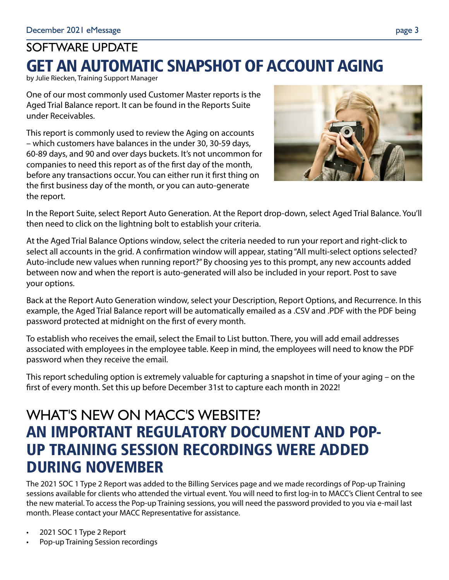# SOFTWARE UPDATE GET AN AUTOMATIC SNAPSHOT OF ACCOUNT AGING

by Julie Riecken, Training Support Manager

One of our most commonly used Customer Master reports is the Aged Trial Balance report. It can be found in the Reports Suite under Receivables.

This report is commonly used to review the Aging on accounts – which customers have balances in the under 30, 30-59 days, 60-89 days, and 90 and over days buckets. It's not uncommon for companies to need this report as of the first day of the month, before any transactions occur. You can either run it first thing on the first business day of the month, or you can auto-generate the report.



In the Report Suite, select Report Auto Generation. At the Report drop-down, select Aged Trial Balance. You'll then need to click on the lightning bolt to establish your criteria.

At the Aged Trial Balance Options window, select the criteria needed to run your report and right-click to select all accounts in the grid. A confirmation window will appear, stating "All multi-select options selected? Auto-include new values when running report?" By choosing yes to this prompt, any new accounts added between now and when the report is auto-generated will also be included in your report. Post to save your options.

Back at the Report Auto Generation window, select your Description, Report Options, and Recurrence. In this example, the Aged Trial Balance report will be automatically emailed as a .CSV and .PDF with the PDF being password protected at midnight on the first of every month.

To establish who receives the email, select the Email to List button. There, you will add email addresses associated with employees in the employee table. Keep in mind, the employees will need to know the PDF password when they receive the email.

This report scheduling option is extremely valuable for capturing a snapshot in time of your aging – on the first of every month. Set this up before December 31st to capture each month in 2022!

## WHAT'S NEW ON MACC'S WEBSITE? AN IMPORTANT REGULATORY DOCUMENT AND POP-UP TRAINING SESSION RECORDINGS WERE ADDED DURING NOVEMBER

The 2021 SOC 1 Type 2 Report was added to the Billing Services page and we made recordings of Pop-up Training sessions available for clients who attended the virtual event. You will need to first log-in to MACC's Client Central to see the new material. To access the Pop-up Training sessions, you will need the password provided to you via e-mail last month. Please contact your MACC Representative for assistance.

- 2021 SOC 1 Type 2 Report
- Pop-up Training Session recordings